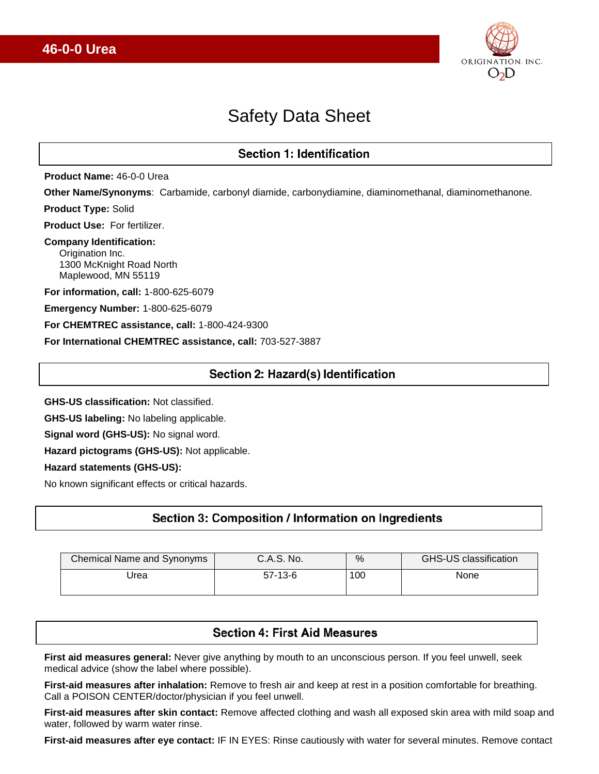

# Safety Data Sheet

# **Section 1: Identification**

**Product Name:** 46-0-0 Urea

**Other Name/Synonyms**: Carbamide, carbonyl diamide, carbonydiamine, diaminomethanal, diaminomethanone.

**Product Type:** Solid

**Product Use:** For fertilizer.

# **Company Identification:**

 Origination Inc. 1300 McKnight Road North Maplewood, MN 55119

**For information, call:** 1-800-625-6079

**Emergency Number:** 1-800-625-6079

**For CHEMTREC assistance, call:** 1-800-424-9300

**For International CHEMTREC assistance, call:** 703-527-3887

# Section 2: Hazard(s) Identification

**GHS-US classification:** Not classified.

**GHS-US labeling:** No labeling applicable.

**Signal word (GHS-US):** No signal word.

**Hazard pictograms (GHS-US):** Not applicable.

#### **Hazard statements (GHS-US):**

No known significant effects or critical hazards.

# Section 3: Composition / Information on Ingredients

| Chemical Name and Synonyms | C.A.S. No. | %   | GHS-US classification |
|----------------------------|------------|-----|-----------------------|
| Jrea                       | $57-13-6$  | 100 | None                  |

# **Section 4: First Aid Measures**

**First aid measures general:** Never give anything by mouth to an unconscious person. If you feel unwell, seek medical advice (show the label where possible).

**First-aid measures after inhalation:** Remove to fresh air and keep at rest in a position comfortable for breathing. Call a POISON CENTER/doctor/physician if you feel unwell.

**First-aid measures after skin contact:** Remove affected clothing and wash all exposed skin area with mild soap and water, followed by warm water rinse.

**First-aid measures after eye contact:** IF IN EYES: Rinse cautiously with water for several minutes. Remove contact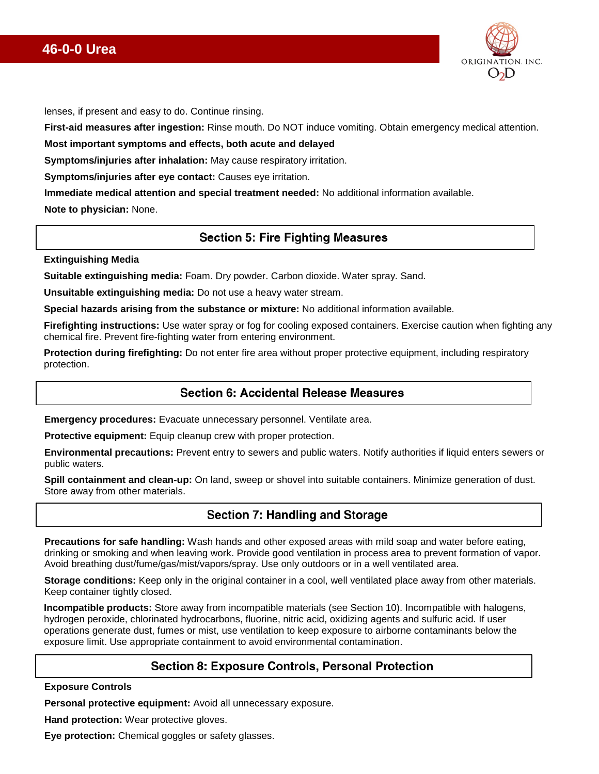# **46-0-0 Urea**



lenses, if present and easy to do. Continue rinsing.

**First-aid measures after ingestion:** Rinse mouth. Do NOT induce vomiting. Obtain emergency medical attention.

**Most important symptoms and effects, both acute and delayed**

**Symptoms/injuries after inhalation:** May cause respiratory irritation.

**Symptoms/injuries after eye contact:** Causes eye irritation.

**Immediate medical attention and special treatment needed:** No additional information available.

**Note to physician:** None.

### **Section 5: Fire Fighting Measures**

#### **Extinguishing Media**

**Suitable extinguishing media:** Foam. Dry powder. Carbon dioxide. Water spray. Sand.

**Unsuitable extinguishing media:** Do not use a heavy water stream.

**Special hazards arising from the substance or mixture:** No additional information available.

**Firefighting instructions:** Use water spray or fog for cooling exposed containers. Exercise caution when fighting any chemical fire. Prevent fire-fighting water from entering environment.

**Protection during firefighting:** Do not enter fire area without proper protective equipment, including respiratory protection.

#### Section 6: Accidental Release Measures

**Emergency procedures:** Evacuate unnecessary personnel. Ventilate area.

**Protective equipment:** Equip cleanup crew with proper protection.

**Environmental precautions:** Prevent entry to sewers and public waters. Notify authorities if liquid enters sewers or public waters.

**Spill containment and clean-up:** On land, sweep or shovel into suitable containers. Minimize generation of dust. Store away from other materials.

# **Section 7: Handling and Storage**

**Precautions for safe handling:** Wash hands and other exposed areas with mild soap and water before eating, drinking or smoking and when leaving work. Provide good ventilation in process area to prevent formation of vapor. Avoid breathing dust/fume/gas/mist/vapors/spray. Use only outdoors or in a well ventilated area.

**Storage conditions:** Keep only in the original container in a cool, well ventilated place away from other materials. Keep container tightly closed.

**Incompatible products:** Store away from incompatible materials (see Section 10). Incompatible with halogens, hydrogen peroxide, chlorinated hydrocarbons, fluorine, nitric acid, oxidizing agents and sulfuric acid. If user operations generate dust, fumes or mist, use ventilation to keep exposure to airborne contaminants below the exposure limit. Use appropriate containment to avoid environmental contamination.

# **Section 8: Exposure Controls, Personal Protection**

**Exposure Controls**

**Personal protective equipment:** Avoid all unnecessary exposure.

**Hand protection:** Wear protective gloves.

**Eye protection:** Chemical goggles or safety glasses.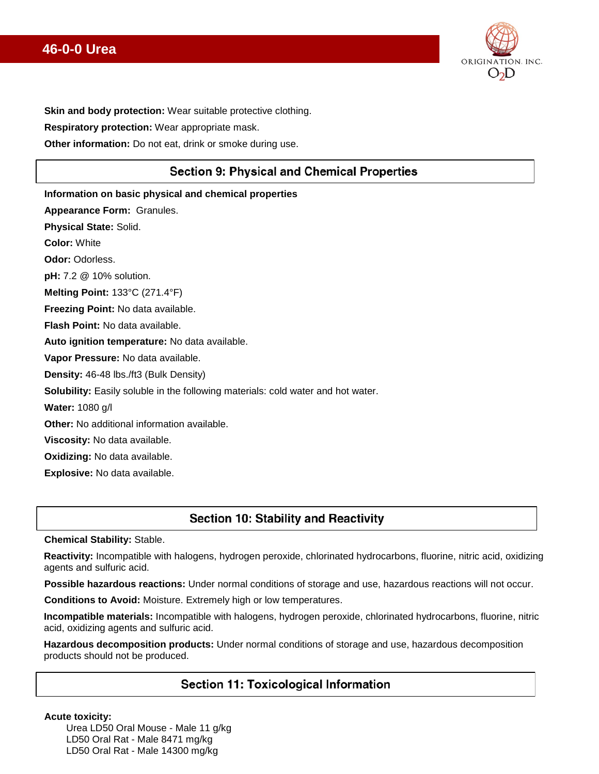# **46-0-0 Urea**



**Skin and body protection:** Wear suitable protective clothing.

**Respiratory protection:** Wear appropriate mask.

**Other information:** Do not eat, drink or smoke during use.

# **Section 9: Physical and Chemical Properties**

**Information on basic physical and chemical properties Appearance Form:** Granules. **Physical State:** Solid. **Color:** White **Odor:** Odorless. **pH:** 7.2 @ 10% solution. **Melting Point:** 133°C (271.4°F) **Freezing Point:** No data available. **Flash Point:** No data available. **Auto ignition temperature:** No data available. **Vapor Pressure:** No data available. **Density:** 46-48 lbs./ft3 (Bulk Density) **Solubility:** Easily soluble in the following materials: cold water and hot water. **Water:** 1080 g/l **Other:** No additional information available. **Viscosity:** No data available. **Oxidizing:** No data available. **Explosive:** No data available.

# **Section 10: Stability and Reactivity**

**Chemical Stability:** Stable.

**Reactivity:** Incompatible with halogens, hydrogen peroxide, chlorinated hydrocarbons, fluorine, nitric acid, oxidizing agents and sulfuric acid.

**Possible hazardous reactions:** Under normal conditions of storage and use, hazardous reactions will not occur.

**Conditions to Avoid:** Moisture. Extremely high or low temperatures.

**Incompatible materials:** Incompatible with halogens, hydrogen peroxide, chlorinated hydrocarbons, fluorine, nitric acid, oxidizing agents and sulfuric acid.

**Hazardous decomposition products:** Under normal conditions of storage and use, hazardous decomposition products should not be produced.

# **Section 11: Toxicological Information**

**Acute toxicity:** 

Urea LD50 Oral Mouse - Male 11 g/kg LD50 Oral Rat - Male 8471 mg/kg LD50 Oral Rat - Male 14300 mg/kg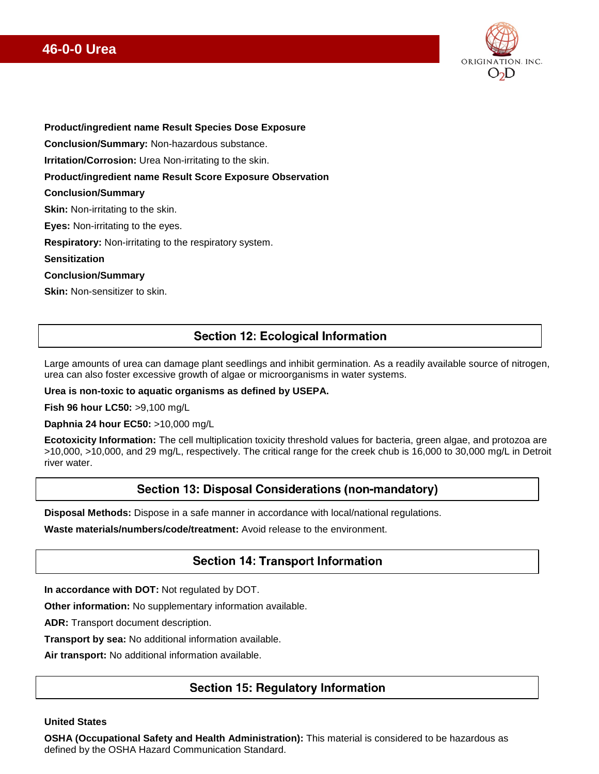# **46-0-0 Urea**



**Product/ingredient name Result Species Dose Exposure**

**Conclusion/Summary:** Non-hazardous substance.

**Irritation/Corrosion:** Urea Non-irritating to the skin.

**Product/ingredient name Result Score Exposure Observation**

#### **Conclusion/Summary**

**Skin:** Non-irritating to the skin.

**Eyes:** Non-irritating to the eyes.

**Respiratory:** Non-irritating to the respiratory system.

#### **Sensitization**

#### **Conclusion/Summary**

**Skin:** Non-sensitizer to skin.

### **Section 12: Ecological Information**

Large amounts of urea can damage plant seedlings and inhibit germination. As a readily available source of nitrogen, urea can also foster excessive growth of algae or microorganisms in water systems.

#### **Urea is non-toxic to aquatic organisms as defined by USEPA.**

**Fish 96 hour LC50:** >9,100 mg/L

**Daphnia 24 hour EC50:** >10,000 mg/L

**Ecotoxicity Information:** The cell multiplication toxicity threshold values for bacteria, green algae, and protozoa are >10,000, >10,000, and 29 mg/L, respectively. The critical range for the creek chub is 16,000 to 30,000 mg/L in Detroit river water.

# Section 13: Disposal Considerations (non-mandatory)

**Disposal Methods:** Dispose in a safe manner in accordance with local/national regulations.

**Waste materials/numbers/code/treatment:** Avoid release to the environment.

# **Section 14: Transport Information**

**In accordance with DOT:** Not regulated by DOT.

**Other information:** No supplementary information available.

**ADR:** Transport document description.

**Transport by sea:** No additional information available.

**Air transport:** No additional information available.

# **Section 15: Regulatory Information**

#### **United States**

**OSHA (Occupational Safety and Health Administration):** This material is considered to be hazardous as defined by the OSHA Hazard Communication Standard.